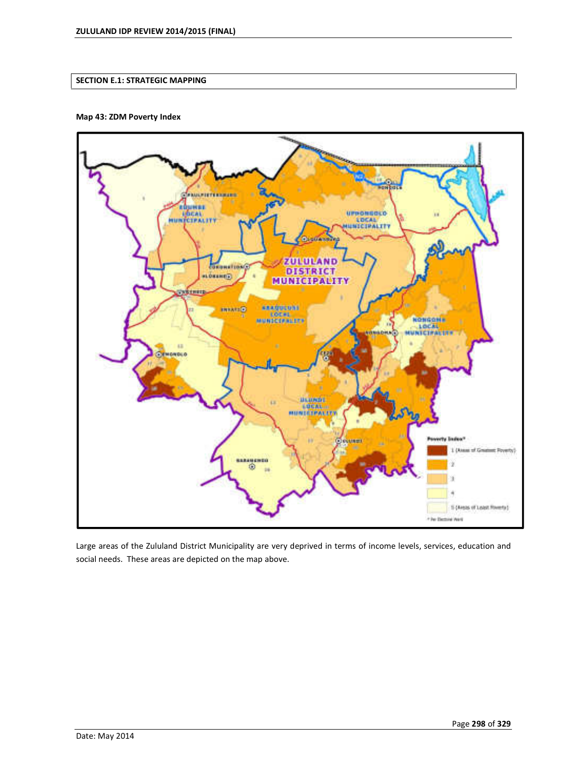# **SECTION E.1: STRATEGIC MAPPING**

## **Map 43: ZDM Poverty Index**



Large areas of the Zululand District Municipality are very deprived in terms of income levels, services, education and social needs. These areas are depicted on the map above.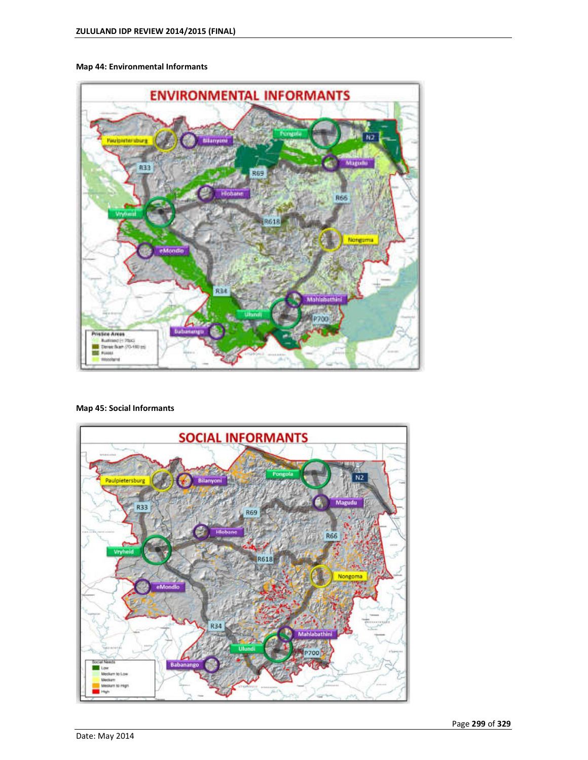## **Map 44: Environmental Informants**



## **Map 45: Social Informants**

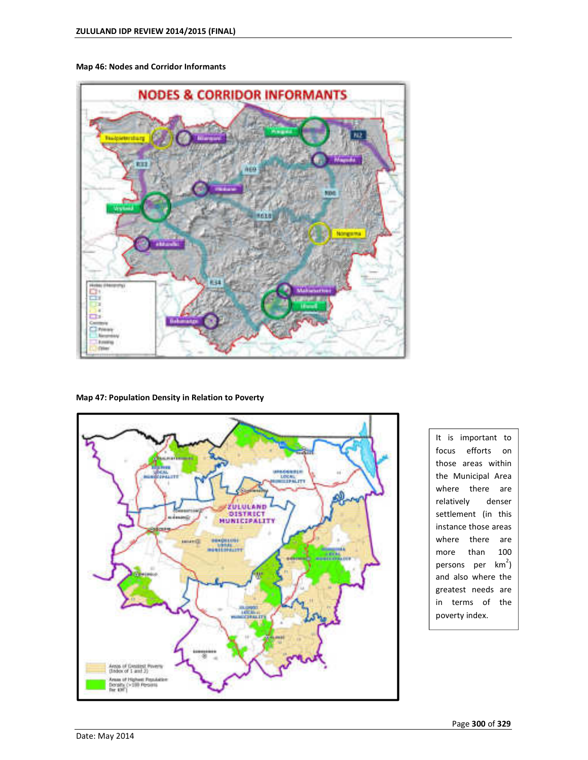



### **Map 47: Population Density in Relation to Poverty**



It is important to focus efforts on those areas within the Municipal Area where there are relatively denser settlement (in this instance those areas where there are more than 100 persons per km<sup>2</sup>) and also where the greatest needs are in terms of the poverty index.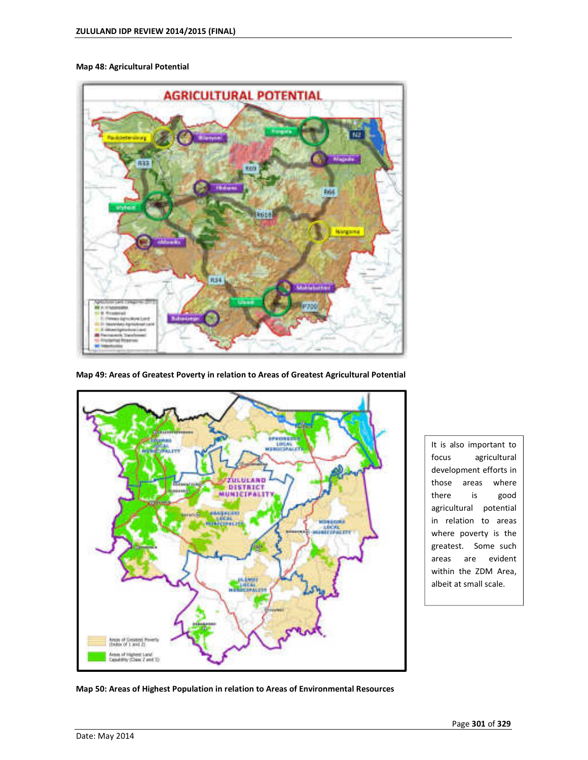### **Map 48: Agricultural Potential**



**Map 49: Areas of Greatest Poverty in relation to Areas of Greatest Agricultural Potential** 



It is also important to focus agricultural development efforts in those areas where there is good agricultural potential in relation to areas where poverty is the greatest. Some such areas are evident within the ZDM Area, albeit at small scale.

**Map 50: Areas of Highest Population in relation to Areas of Environmental Resources**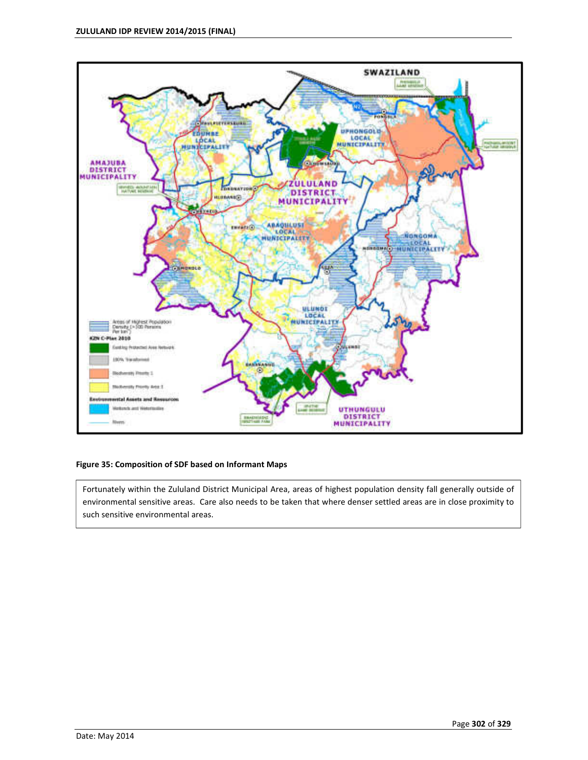

## **Figure 35: Composition of SDF based on Informant Maps**

Fortunately within the Zululand District Municipal Area, areas of highest population density fall generally outside of environmental sensitive areas. Care also needs to be taken that where denser settled areas are in close proximity to such sensitive environmental areas.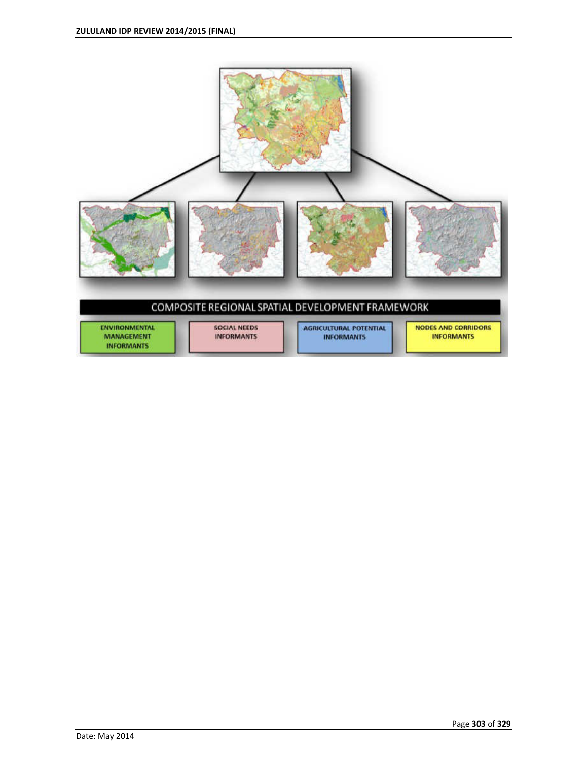